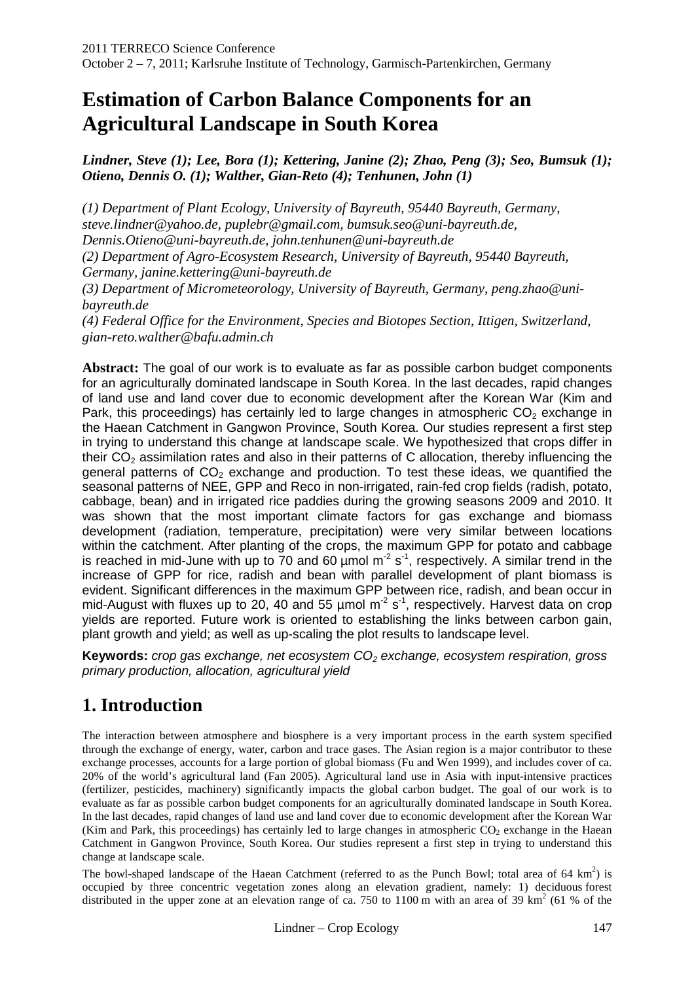October 2 – 7, 2011; Karlsruhe Institute of Technology, Garmisch-Partenkirchen, Germany

# **Estimation of Carbon Balance Components for an Agricultural Landscape in South Korea**

*Lindner, Steve (1); Lee, Bora (1); Kettering, Janine (2); Zhao, Peng (3); Seo, Bumsuk (1); Otieno, Dennis O. (1); Walther, Gian-Reto (4); Tenhunen, John (1)* 

*(1) Department of Plant Ecology, University of Bayreuth, 95440 Bayreuth, Germany, steve.lindner@yahoo.de, puplebr@gmail.com, bumsuk.seo@uni-bayreuth.de, Dennis.Otieno@uni-bayreuth.de, john.tenhunen@uni-bayreuth.de* 

*(2) Department of Agro-Ecosystem Research, University of Bayreuth, 95440 Bayreuth, Germany, janine.kettering@uni-bayreuth.de* 

*(3) Department of Micrometeorology, University of Bayreuth, Germany, peng.zhao@unibayreuth.de* 

*(4) Federal Office for the Environment, Species and Biotopes Section, Ittigen, Switzerland, gian-reto.walther@bafu.admin.ch* 

**Abstract:** The goal of our work is to evaluate as far as possible carbon budget components for an agriculturally dominated landscape in South Korea. In the last decades, rapid changes of land use and land cover due to economic development after the Korean War (Kim and Park, this proceedings) has certainly led to large changes in atmospheric  $CO<sub>2</sub>$  exchange in the Haean Catchment in Gangwon Province, South Korea. Our studies represent a first step in trying to understand this change at landscape scale. We hypothesized that crops differ in their  $CO<sub>2</sub>$  assimilation rates and also in their patterns of C allocation, thereby influencing the general patterns of  $CO<sub>2</sub>$  exchange and production. To test these ideas, we quantified the seasonal patterns of NEE, GPP and Reco in non-irrigated, rain-fed crop fields (radish, potato, cabbage, bean) and in irrigated rice paddies during the growing seasons 2009 and 2010. It was shown that the most important climate factors for gas exchange and biomass development (radiation, temperature, precipitation) were very similar between locations within the catchment. After planting of the crops, the maximum GPP for potato and cabbage is reached in mid-June with up to  $70$  and  $60$  µmol m<sup>-2</sup> s<sup>-1</sup>, respectively. A similar trend in the increase of GPP for rice, radish and bean with parallel development of plant biomass is evident. Significant differences in the maximum GPP between rice, radish, and bean occur in mid-August with fluxes up to 20, 40 and 55  $\mu$ mol m<sup>2</sup> s<sup>1</sup>, respectively. Harvest data on crop yields are reported. Future work is oriented to establishing the links between carbon gain, plant growth and yield; as well as up-scaling the plot results to landscape level.

Keywords: crop gas exchange, net ecosystem CO<sub>2</sub> exchange, ecosystem respiration, gross primary production, allocation, agricultural yield

# **1. Introduction**

The interaction between atmosphere and biosphere is a very important process in the earth system specified through the exchange of energy, water, carbon and trace gases. The Asian region is a major contributor to these exchange processes, accounts for a large portion of global biomass (Fu and Wen 1999), and includes cover of ca. 20% of the world's agricultural land (Fan 2005). Agricultural land use in Asia with input-intensive practices (fertilizer, pesticides, machinery) significantly impacts the global carbon budget. The goal of our work is to evaluate as far as possible carbon budget components for an agriculturally dominated landscape in South Korea. In the last decades, rapid changes of land use and land cover due to economic development after the Korean War (Kim and Park, this proceedings) has certainly led to large changes in atmospheric  $CO<sub>2</sub>$  exchange in the Haean Catchment in Gangwon Province, South Korea. Our studies represent a first step in trying to understand this change at landscape scale.

The bowl-shaped landscape of the Haean Catchment (referred to as the Punch Bowl; total area of 64  $\text{km}^2$ ) is occupied by three concentric vegetation zones along an elevation gradient, namely: 1) deciduous forest distributed in the upper zone at an elevation range of ca. 750 to 1100 m with an area of 39  $\text{km}^2$  (61 % of the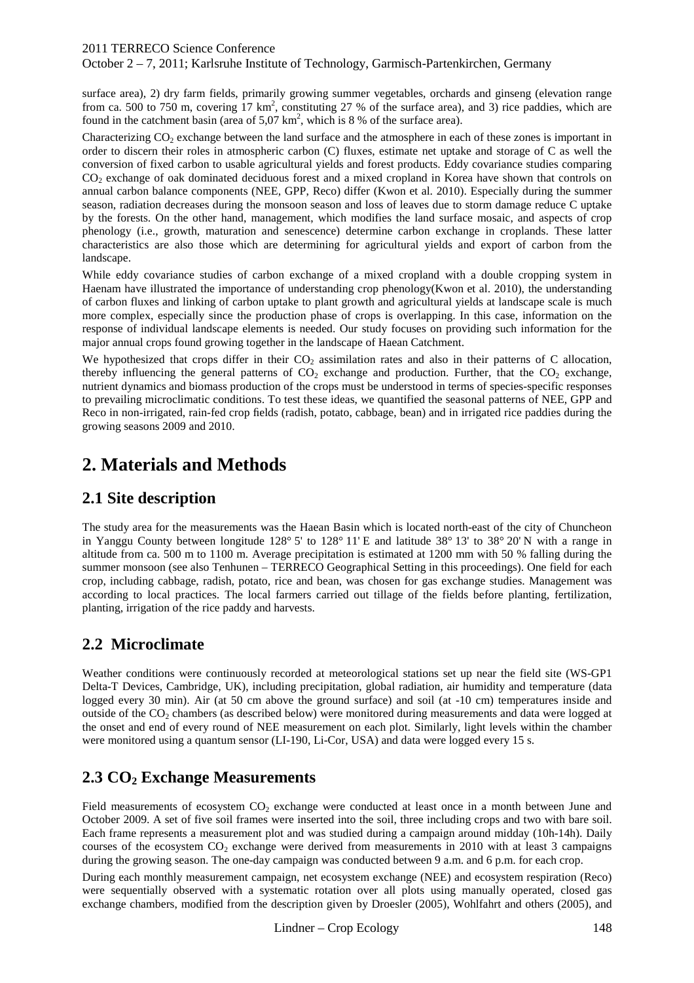October 2 – 7, 2011; Karlsruhe Institute of Technology, Garmisch-Partenkirchen, Germany

surface area), 2) dry farm fields, primarily growing summer vegetables, orchards and ginseng (elevation range from ca. 500 to 750 m, covering  $17 \text{ km}^2$ , constituting 27 % of the surface area), and 3) rice paddies, which are found in the catchment basin (area of  $5.07 \text{ km}^2$ , which is 8 % of the surface area).

Characterizing  $CO<sub>2</sub>$  exchange between the land surface and the atmosphere in each of these zones is important in order to discern their roles in atmospheric carbon (C) fluxes, estimate net uptake and storage of C as well the conversion of fixed carbon to usable agricultural yields and forest products. Eddy covariance studies comparing CO<sub>2</sub> exchange of oak dominated deciduous forest and a mixed cropland in Korea have shown that controls on annual carbon balance components (NEE, GPP, Reco) differ (Kwon et al. 2010). Especially during the summer season, radiation decreases during the monsoon season and loss of leaves due to storm damage reduce C uptake by the forests. On the other hand, management, which modifies the land surface mosaic, and aspects of crop phenology (i.e., growth, maturation and senescence) determine carbon exchange in croplands. These latter characteristics are also those which are determining for agricultural yields and export of carbon from the landscape.

While eddy covariance studies of carbon exchange of a mixed cropland with a double cropping system in Haenam have illustrated the importance of understanding crop phenology(Kwon et al. 2010), the understanding of carbon fluxes and linking of carbon uptake to plant growth and agricultural yields at landscape scale is much more complex, especially since the production phase of crops is overlapping. In this case, information on the response of individual landscape elements is needed. Our study focuses on providing such information for the major annual crops found growing together in the landscape of Haean Catchment.

We hypothesized that crops differ in their  $CO<sub>2</sub>$  assimilation rates and also in their patterns of C allocation, thereby influencing the general patterns of  $CO<sub>2</sub>$  exchange and production. Further, that the  $CO<sub>2</sub>$  exchange, nutrient dynamics and biomass production of the crops must be understood in terms of species-specific responses to prevailing microclimatic conditions. To test these ideas, we quantified the seasonal patterns of NEE, GPP and Reco in non-irrigated, rain-fed crop fields (radish, potato, cabbage, bean) and in irrigated rice paddies during the growing seasons 2009 and 2010.

# **2. Materials and Methods**

### **2.1 Site description**

The study area for the measurements was the Haean Basin which is located north-east of the city of Chuncheon in Yanggu County between longitude 128° 5' to 128° 11' E and latitude 38° 13' to 38° 20' N with a range in altitude from ca. 500 m to 1100 m. Average precipitation is estimated at 1200 mm with 50 % falling during the summer monsoon (see also Tenhunen – TERRECO Geographical Setting in this proceedings). One field for each crop, including cabbage, radish, potato, rice and bean, was chosen for gas exchange studies. Management was according to local practices. The local farmers carried out tillage of the fields before planting, fertilization, planting, irrigation of the rice paddy and harvests.

### **2.2 Microclimate**

Weather conditions were continuously recorded at meteorological stations set up near the field site (WS-GP1 Delta-T Devices, Cambridge, UK), including precipitation, global radiation, air humidity and temperature (data logged every 30 min). Air (at 50 cm above the ground surface) and soil (at -10 cm) temperatures inside and outside of the  $CO<sub>2</sub>$  chambers (as described below) were monitored during measurements and data were logged at the onset and end of every round of NEE measurement on each plot. Similarly, light levels within the chamber were monitored using a quantum sensor (LI-190, Li-Cor, USA) and data were logged every 15 s.

# **2.3 CO2 Exchange Measurements**

Field measurements of ecosystem  $CO<sub>2</sub>$  exchange were conducted at least once in a month between June and October 2009. A set of five soil frames were inserted into the soil, three including crops and two with bare soil. Each frame represents a measurement plot and was studied during a campaign around midday (10h-14h). Daily courses of the ecosystem  $CO<sub>2</sub>$  exchange were derived from measurements in 2010 with at least 3 campaigns during the growing season. The one-day campaign was conducted between 9 a.m. and 6 p.m. for each crop.

During each monthly measurement campaign, net ecosystem exchange (NEE) and ecosystem respiration (Reco) were sequentially observed with a systematic rotation over all plots using manually operated, closed gas exchange chambers, modified from the description given by Droesler (2005), Wohlfahrt and others (2005), and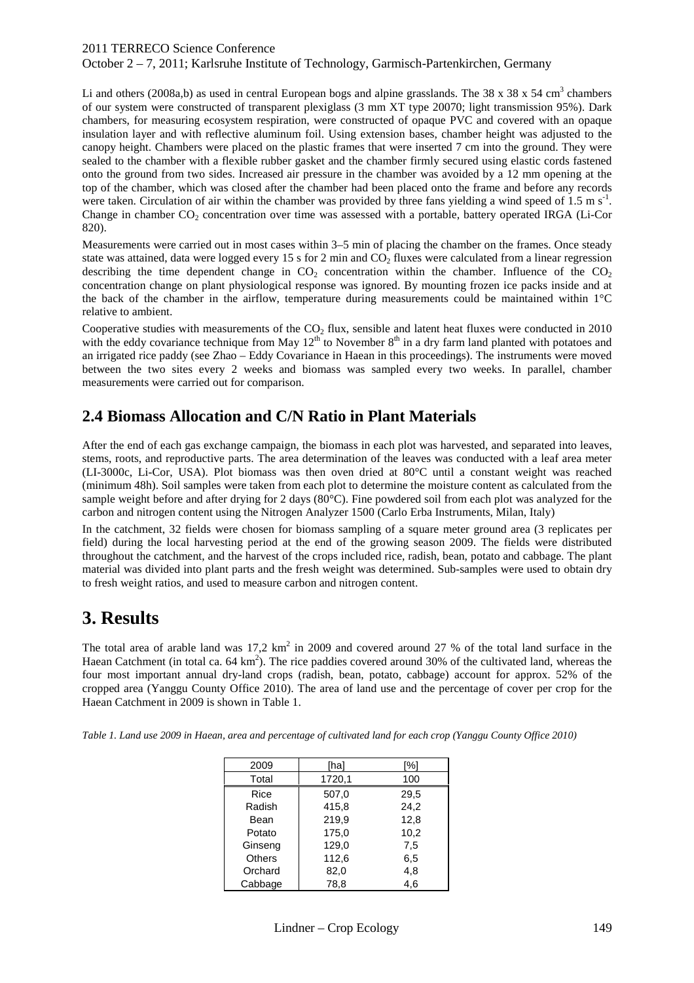October 2 – 7, 2011; Karlsruhe Institute of Technology, Garmisch-Partenkirchen, Germany

Li and others (2008a,b) as used in central European bogs and alpine grasslands. The 38 x 38 x 54 cm<sup>3</sup> chambers of our system were constructed of transparent plexiglass (3 mm XT type 20070; light transmission 95%). Dark chambers, for measuring ecosystem respiration, were constructed of opaque PVC and covered with an opaque insulation layer and with reflective aluminum foil. Using extension bases, chamber height was adjusted to the canopy height. Chambers were placed on the plastic frames that were inserted 7 cm into the ground. They were sealed to the chamber with a flexible rubber gasket and the chamber firmly secured using elastic cords fastened onto the ground from two sides. Increased air pressure in the chamber was avoided by a 12 mm opening at the top of the chamber, which was closed after the chamber had been placed onto the frame and before any records were taken. Circulation of air within the chamber was provided by three fans yielding a wind speed of  $1.5 \text{ m s}^{-1}$ . Change in chamber  $CO<sub>2</sub>$  concentration over time was assessed with a portable, battery operated IRGA (Li-Cor 820).

Measurements were carried out in most cases within 3–5 min of placing the chamber on the frames. Once steady state was attained, data were logged every 15 s for 2 min and  $CO<sub>2</sub>$  fluxes were calculated from a linear regression describing the time dependent change in  $CO<sub>2</sub>$  concentration within the chamber. Influence of the  $CO<sub>2</sub>$ concentration change on plant physiological response was ignored. By mounting frozen ice packs inside and at the back of the chamber in the airflow, temperature during measurements could be maintained within 1°C relative to ambient.

Cooperative studies with measurements of the  $CO<sub>2</sub>$  flux, sensible and latent heat fluxes were conducted in 2010 with the eddy covariance technique from May  $12<sup>th</sup>$  to November  $8<sup>th</sup>$  in a dry farm land planted with potatoes and an irrigated rice paddy (see Zhao – Eddy Covariance in Haean in this proceedings). The instruments were moved between the two sites every 2 weeks and biomass was sampled every two weeks. In parallel, chamber measurements were carried out for comparison.

### **2.4 Biomass Allocation and C/N Ratio in Plant Materials**

After the end of each gas exchange campaign, the biomass in each plot was harvested, and separated into leaves, stems, roots, and reproductive parts. The area determination of the leaves was conducted with a leaf area meter (LI-3000c, Li-Cor, USA). Plot biomass was then oven dried at 80°C until a constant weight was reached (minimum 48h). Soil samples were taken from each plot to determine the moisture content as calculated from the sample weight before and after drying for 2 days (80°C). Fine powdered soil from each plot was analyzed for the carbon and nitrogen content using the Nitrogen Analyzer 1500 (Carlo Erba Instruments, Milan, Italy)

In the catchment, 32 fields were chosen for biomass sampling of a square meter ground area (3 replicates per field) during the local harvesting period at the end of the growing season 2009. The fields were distributed throughout the catchment, and the harvest of the crops included rice, radish, bean, potato and cabbage. The plant material was divided into plant parts and the fresh weight was determined. Sub-samples were used to obtain dry to fresh weight ratios, and used to measure carbon and nitrogen content.

# **3. Results**

The total area of arable land was  $17.2 \text{ km}^2$  in 2009 and covered around 27 % of the total land surface in the Haean Catchment (in total ca. 64  $km<sup>2</sup>$ ). The rice paddies covered around 30% of the cultivated land, whereas the four most important annual dry-land crops (radish, bean, potato, cabbage) account for approx. 52% of the cropped area (Yanggu County Office 2010). The area of land use and the percentage of cover per crop for the Haean Catchment in 2009 is shown in Table 1.

| Table 1. Land use 2009 in Haean, area and percentage of cultivated land for each crop (Yanggu County Office 2010) |  |  |
|-------------------------------------------------------------------------------------------------------------------|--|--|
|                                                                                                                   |  |  |

| 2009          | [ha]   | [%]  |
|---------------|--------|------|
| Total         | 1720,1 | 100  |
| Rice          | 507,0  | 29,5 |
| Radish        | 415,8  | 24,2 |
| Bean          | 219,9  | 12,8 |
| Potato        | 175,0  | 10,2 |
| Ginseng       | 129,0  | 7,5  |
| <b>Others</b> | 112,6  | 6,5  |
| Orchard       | 82,0   | 4,8  |
| Cabbage       | 78.8   | 4,6  |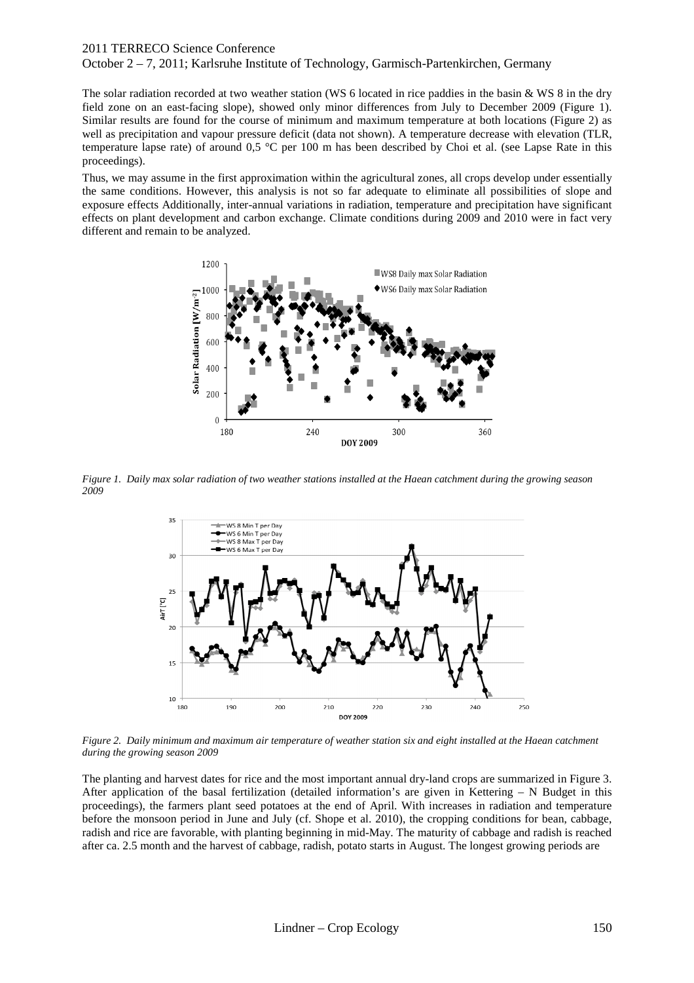October 2 – 7, 2011; Karlsruhe Institute of Technology, Garmisch-Partenkirchen, Germany

The solar radiation recorded at two weather station (WS 6 located in rice paddies in the basin & WS 8 in the dry field zone on an east-facing slope), showed only minor differences from July to December 2009 (Figure 1). Similar results are found for the course of minimum and maximum temperature at both locations (Figure 2) as well as precipitation and vapour pressure deficit (data not shown). A temperature decrease with elevation (TLR, temperature lapse rate) of around 0,5 °C per 100 m has been described by Choi et al. (see Lapse Rate in this proceedings).

Thus, we may assume in the first approximation within the agricultural zones, all crops develop under essentially the same conditions. However, this analysis is not so far adequate to eliminate all possibilities of slope and exposure effects Additionally, inter-annual variations in radiation, temperature and precipitation have significant effects on plant development and carbon exchange. Climate conditions during 2009 and 2010 were in fact very different and remain to be analyzed.



*Figure 1. Daily max solar radiation of two weather stations installed at the Haean catchment during the growing season 2009* 



*Figure 2. Daily minimum and maximum air temperature of weather station six and eight installed at the Haean catchment during the growing season 2009* 

The planting and harvest dates for rice and the most important annual dry-land crops are summarized in Figure 3. After application of the basal fertilization (detailed information's are given in Kettering – N Budget in this proceedings), the farmers plant seed potatoes at the end of April. With increases in radiation and temperature before the monsoon period in June and July (cf. Shope et al. 2010), the cropping conditions for bean, cabbage, radish and rice are favorable, with planting beginning in mid-May. The maturity of cabbage and radish is reached after ca. 2.5 month and the harvest of cabbage, radish, potato starts in August. The longest growing periods are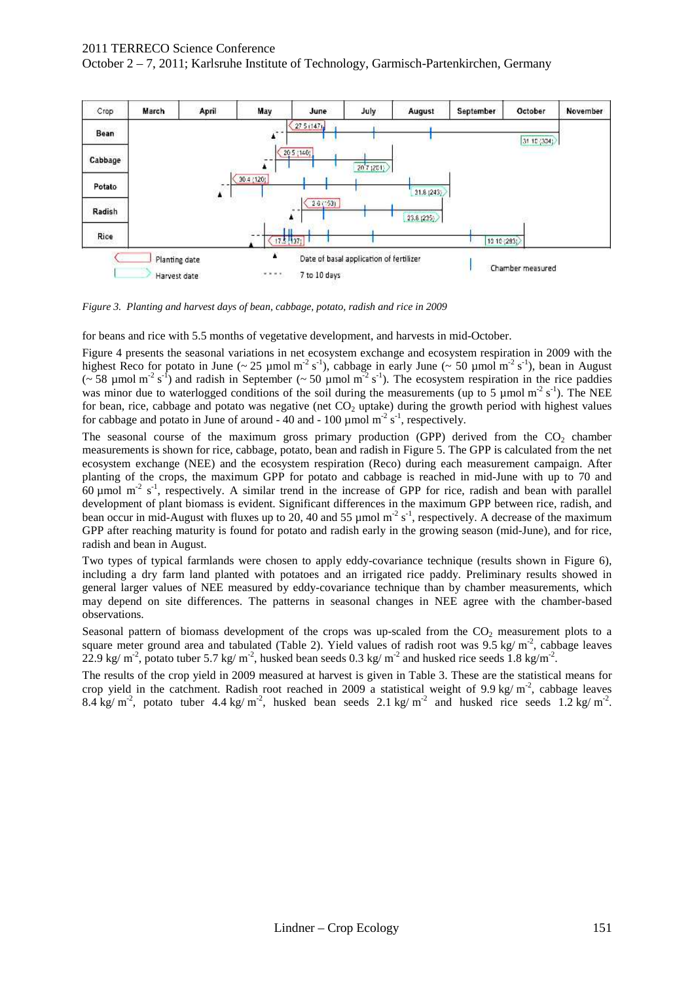October 2 – 7, 2011; Karlsruhe Institute of Technology, Garmisch-Partenkirchen, Germany



*Figure 3. Planting and harvest days of bean, cabbage, potato, radish and rice in 2009* 

for beans and rice with 5.5 months of vegetative development, and harvests in mid-October.

Figure 4 presents the seasonal variations in net ecosystem exchange and ecosystem respiration in 2009 with the highest Reco for potato in June ( $\sim 25 \mu$ mol m<sup>-2</sup> s<sup>-1</sup>), cabbage in early June ( $\sim 50 \mu$ mol m<sup>-2</sup> s<sup>-1</sup>), bean in August (~58 µmol m<sup>-2</sup> s<sup>-I</sup>) and radish in September (~50 µmol m<sup>-2</sup> s<sup>-1</sup>). The ecosystem respiration in the rice paddies was minor due to waterlogged conditions of the soil during the measurements (up to 5 umol m<sup>-2</sup> s<sup>-1</sup>). The NEE for bean, rice, cabbage and potato was negative (net  $CO<sub>2</sub>$  uptake) during the growth period with highest values for cabbage and potato in June of around - 40 and - 100  $\mu$ mol m<sup>-2</sup> s<sup>-1</sup>, respectively.

The seasonal course of the maximum gross primary production (GPP) derived from the  $CO<sub>2</sub>$  chamber measurements is shown for rice, cabbage, potato, bean and radish in Figure 5. The GPP is calculated from the net ecosystem exchange (NEE) and the ecosystem respiration (Reco) during each measurement campaign. After planting of the crops, the maximum GPP for potato and cabbage is reached in mid-June with up to 70 and 60  $\mu$ mol m<sup>-2</sup> s<sup>-1</sup>, respectively. A similar trend in the increase of GPP for rice, radish and bean with parallel development of plant biomass is evident. Significant differences in the maximum GPP between rice, radish, and bean occur in mid-August with fluxes up to 20, 40 and 55 µmol m<sup>-2</sup> s<sup>-1</sup>, respectively. A decrease of the maximum GPP after reaching maturity is found for potato and radish early in the growing season (mid-June), and for rice, radish and bean in August.

Two types of typical farmlands were chosen to apply eddy-covariance technique (results shown in Figure 6), including a dry farm land planted with potatoes and an irrigated rice paddy. Preliminary results showed in general larger values of NEE measured by eddy-covariance technique than by chamber measurements, which may depend on site differences. The patterns in seasonal changes in NEE agree with the chamber-based observations.

Seasonal pattern of biomass development of the crops was up-scaled from the  $CO<sub>2</sub>$  measurement plots to a square meter ground area and tabulated (Table 2). Yield values of radish root was  $9.5 \text{ kg/m}^2$ , cabbage leaves 22.9 kg/ m<sup>-2</sup>, potato tuber 5.7 kg/ m<sup>-2</sup>, husked bean seeds 0.3 kg/ m<sup>-2</sup> and husked rice seeds 1.8 kg/m<sup>-2</sup>.

The results of the crop yield in 2009 measured at harvest is given in Table 3. These are the statistical means for crop yield in the catchment. Radish root reached in 2009 a statistical weight of 9.9 kg/ m<sup>-2</sup>, cabbage leaves 8.4 kg/ m<sup>-2</sup>, potato tuber 4.4 kg/ m<sup>-2</sup>, husked bean seeds 2.1 kg/ m<sup>-2</sup> and husked rice seeds 1.2 kg/ m<sup>-2</sup>.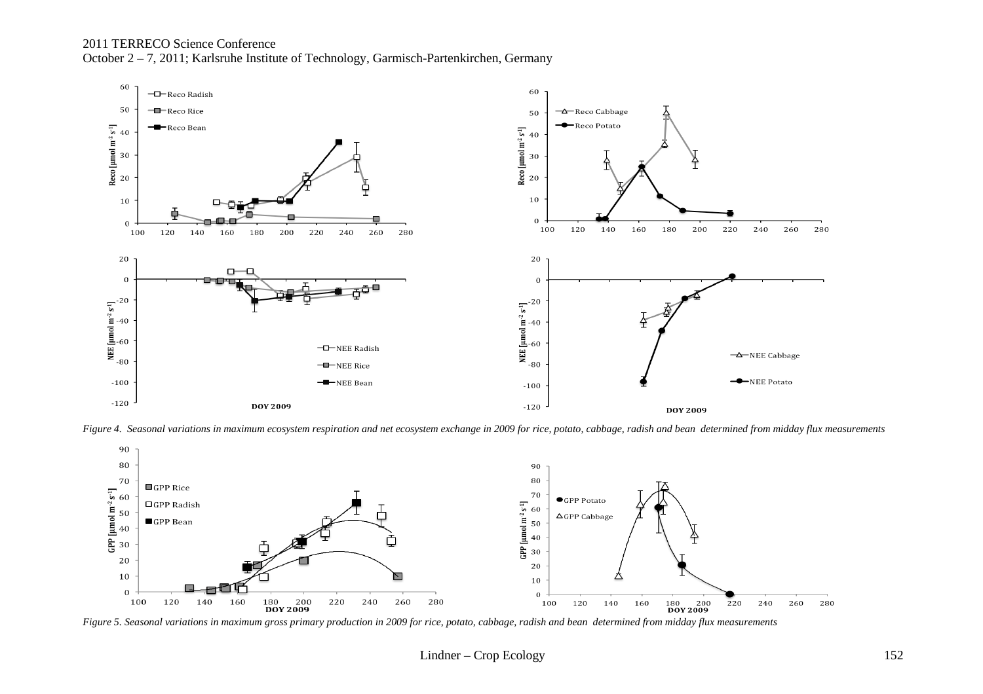

*Figure 4. Seasonal variations in maximum ecosystem respiration and net ecosystem exchange in 2009 for rice, potato, cabbage, radish and bean determined from midday flux measurements* 



*Figure 5. Seasonal variations in maximum gross primary production in 2009 for rice, potato, cabbage, radish and bean determined from midday flux measurements*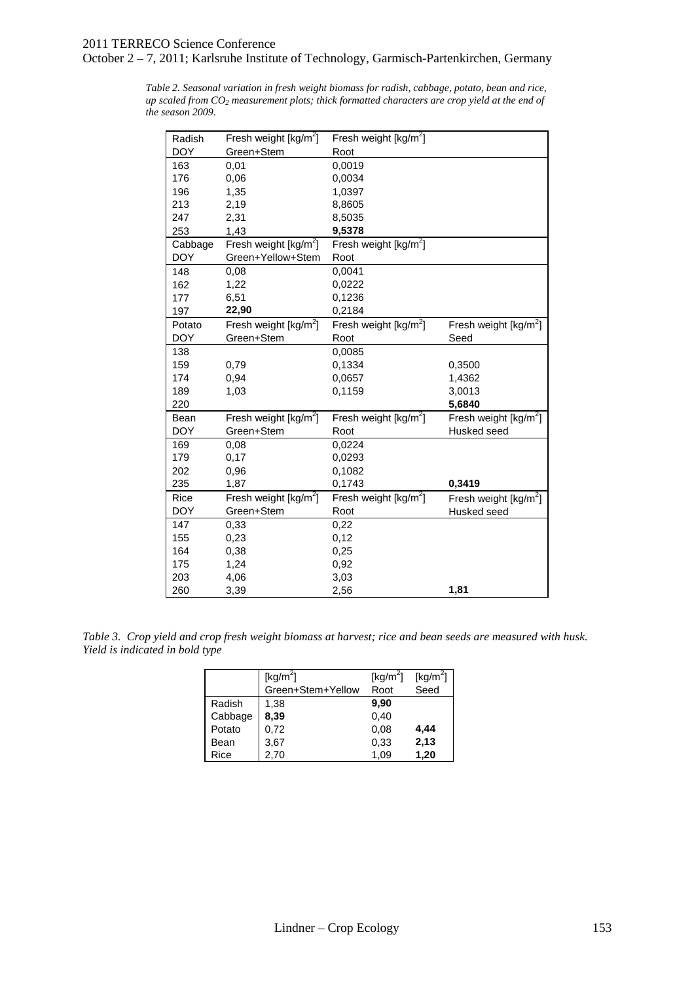October 2 – 7, 2011; Karlsruhe Institute of Technology, Garmisch-Partenkirchen, Germany

*Table 2. Seasonal variation in fresh weight biomass for radish, cabbage, potato, bean and rice, up scaled from CO<sup>2</sup> measurement plots; thick formatted characters are crop yield at the end of the season 2009.* 

| Radish     | Fresh weight $[kg/m^2]$           | Fresh weight [ $kg/m2$ ]          |                         |
|------------|-----------------------------------|-----------------------------------|-------------------------|
| <b>DOY</b> | Green+Stem                        | Root                              |                         |
| 163        | 0,01                              | 0,0019                            |                         |
| 176        | 0,06                              | 0,0034                            |                         |
| 196        | 1,35                              | 1,0397                            |                         |
| 213        | 2,19                              | 8,8605                            |                         |
| 247        | 2,31                              | 8,5035                            |                         |
| 253        | 1,43                              | 9,5378                            |                         |
| Cabbage    | Fresh weight $[kg/m^2]$           | Fresh weight $[kg/m^2]$           |                         |
| <b>DOY</b> | Green+Yellow+Stem                 | Root                              |                         |
| 148        | 0.08                              | 0,0041                            |                         |
| 162        | 1,22                              | 0,0222                            |                         |
| 177        | 6,51                              | 0,1236                            |                         |
| 197        | 22,90                             | 0,2184                            |                         |
| Potato     | Fresh weight [kg/m <sup>2</sup> ] | Fresh weight [ $kg/m2$ ]          | Fresh weight $[kg/m^2]$ |
| <b>DOY</b> | Green+Stem                        | Root                              | Seed                    |
| 138        |                                   | 0.0085                            |                         |
| 159        | 0,79                              | 0,1334                            | 0,3500                  |
| 174        | 0,94                              | 0.0657                            | 1,4362                  |
| 189        | 1,03                              | 0,1159                            | 3,0013                  |
| 220        |                                   |                                   | 5,6840                  |
| Bean       | Fresh weight $[kg/m2]$            | Fresh weight $[kg/m^2]$           | Fresh weight $[kg/m^2]$ |
| <b>DOY</b> | Green+Stem                        | Root                              | Husked seed             |
| 169        | 0,08                              | 0,0224                            |                         |
| 179        | 0,17                              | 0,0293                            |                         |
| 202        | 0,96                              | 0,1082                            |                         |
| 235        | 1,87                              | 0,1743                            | 0,3419                  |
| Rice       | Fresh weight [kg/m <sup>2</sup> ] | Fresh weight [kg/m <sup>2</sup> ] | Fresh weight $[kg/m^2]$ |
| <b>DOY</b> | Green+Stem                        | Root                              | Husked seed             |
| 147        | 0,33                              | 0,22                              |                         |
| 155        | 0,23                              | 0,12                              |                         |
| 164        | 0,38                              | 0,25                              |                         |
| 175        | 1,24                              | 0,92                              |                         |
| 203        | 4,06                              | 3,03                              |                         |
| 260        | 3,39                              | 2,56                              | 1,81                    |

*Table 3. Crop yield and crop fresh weight biomass at harvest; rice and bean seeds are measured with husk. Yield is indicated in bold type*

|         | [kg/m <sup>2</sup> ] | [ $kg/m2$ ] | [kg/m <sup>2</sup> ] |
|---------|----------------------|-------------|----------------------|
|         | Green+Stem+Yellow    | Root        | Seed                 |
| Radish  | 1,38                 | 9,90        |                      |
| Cabbage | 8,39                 | 0,40        |                      |
| Potato  | 0,72                 | 0.08        | 4,44                 |
| Bean    | 3.67                 | 0.33        | 2,13                 |
| Rice    | 2,70                 | 1,09        | 1,20                 |